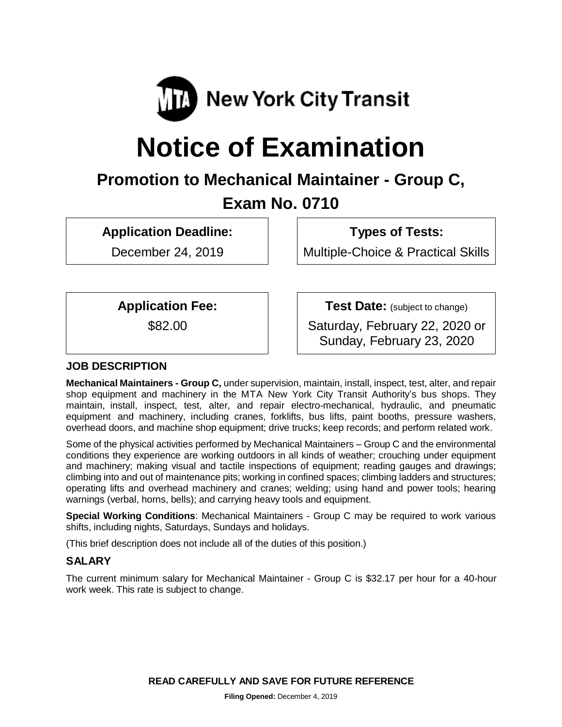

# **Notice of Examination**

# **Promotion to Mechanical Maintainer - Group C, Exam No. 0710**

**Application Deadline:**

December 24, 2019

**Types of Tests:**

Multiple-Choice & Practical Skills

**Application Fee:**

\$82.00

**Test Date:** (subject to change)

Saturday, February 22, 2020 or Sunday, February 23, 2020

# **JOB DESCRIPTION**

**Mechanical Maintainers - Group C,** under supervision, maintain, install, inspect, test, alter, and repair shop equipment and machinery in the MTA New York City Transit Authority's bus shops. They maintain, install, inspect, test, alter, and repair electro-mechanical, hydraulic, and pneumatic equipment and machinery, including cranes, forklifts, bus lifts, paint booths, pressure washers, overhead doors, and machine shop equipment; drive trucks; keep records; and perform related work.

Some of the physical activities performed by Mechanical Maintainers – Group C and the environmental conditions they experience are working outdoors in all kinds of weather; crouching under equipment and machinery; making visual and tactile inspections of equipment; reading gauges and drawings; climbing into and out of maintenance pits; working in confined spaces; climbing ladders and structures; operating lifts and overhead machinery and cranes; welding; using hand and power tools; hearing warnings (verbal, horns, bells); and carrying heavy tools and equipment.

**Special Working Conditions**: Mechanical Maintainers - Group C may be required to work various shifts, including nights, Saturdays, Sundays and holidays.

(This brief description does not include all of the duties of this position.)

# **SALARY**

The current minimum salary for Mechanical Maintainer - Group C is \$32.17 per hour for a 40-hour work week. This rate is subject to change.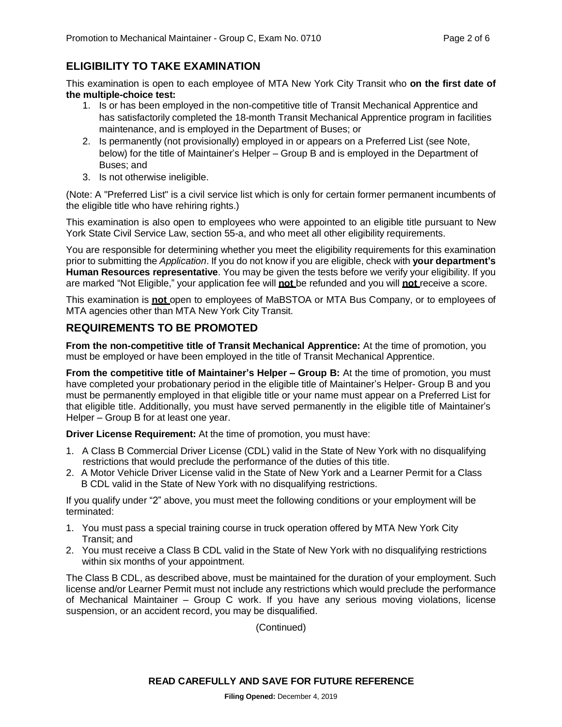# **ELIGIBILITY TO TAKE EXAMINATION**

This examination is open to each employee of MTA New York City Transit who **on the first date of the multiple-choice test:**

- 1. Is or has been employed in the non-competitive title of Transit Mechanical Apprentice and has satisfactorily completed the 18-month Transit Mechanical Apprentice program in facilities maintenance, and is employed in the Department of Buses; or
- 2. Is permanently (not provisionally) employed in or appears on a Preferred List (see Note, below) for the title of Maintainer's Helper – Group B and is employed in the Department of Buses; and
- 3. Is not otherwise ineligible.

(Note: A "Preferred List" is a civil service list which is only for certain former permanent incumbents of the eligible title who have rehiring rights.)

This examination is also open to employees who were appointed to an eligible title pursuant to New York State Civil Service Law, section 55-a, and who meet all other eligibility requirements.

You are responsible for determining whether you meet the eligibility requirements for this examination prior to submitting the *Application*. If you do not know if you are eligible, check with **your department's Human Resources representative**. You may be given the tests before we verify your eligibility. If you are marked "Not Eligible," your application fee will **not** be refunded and you will **not** receive a score.

This examination is **not** open to employees of MaBSTOA or MTA Bus Company, or to employees of MTA agencies other than MTA New York City Transit.

## **REQUIREMENTS TO BE PROMOTED**

**From the non-competitive title of Transit Mechanical Apprentice:** At the time of promotion, you must be employed or have been employed in the title of Transit Mechanical Apprentice.

**From the competitive title of Maintainer's Helper – Group B:** At the time of promotion, you must have completed your probationary period in the eligible title of Maintainer's Helper- Group B and you must be permanently employed in that eligible title or your name must appear on a Preferred List for that eligible title. Additionally, you must have served permanently in the eligible title of Maintainer's Helper – Group B for at least one year.

**Driver License Requirement:** At the time of promotion, you must have:

- 1. A Class B Commercial Driver License (CDL) valid in the State of New York with no disqualifying restrictions that would preclude the performance of the duties of this title.
- 2. A Motor Vehicle Driver License valid in the State of New York and a Learner Permit for a Class B CDL valid in the State of New York with no disqualifying restrictions.

If you qualify under "2" above, you must meet the following conditions or your employment will be terminated:

- 1. You must pass a special training course in truck operation offered by MTA New York City Transit; and
- 2. You must receive a Class B CDL valid in the State of New York with no disqualifying restrictions within six months of your appointment.

The Class B CDL, as described above, must be maintained for the duration of your employment. Such license and/or Learner Permit must not include any restrictions which would preclude the performance of Mechanical Maintainer – Group C work. If you have any serious moving violations, license suspension, or an accident record, you may be disqualified.

(Continued)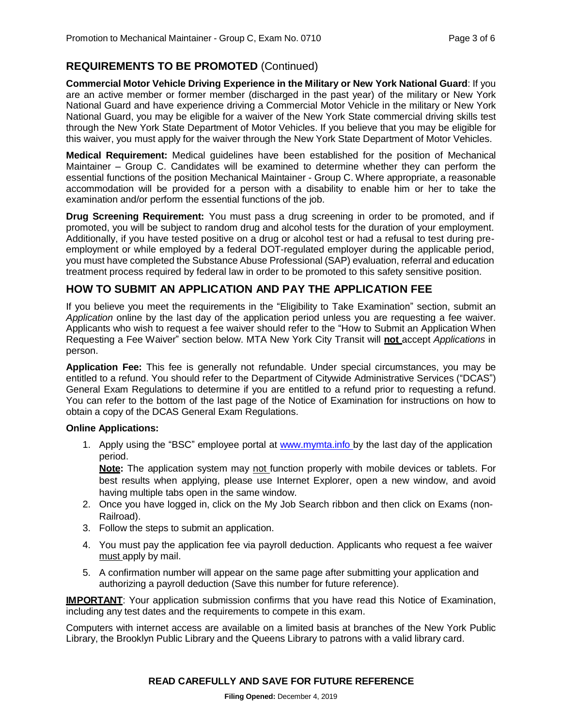# **REQUIREMENTS TO BE PROMOTED** (Continued)

**Commercial Motor Vehicle Driving Experience in the Military or New York National Guard**: If you are an active member or former member (discharged in the past year) of the military or New York National Guard and have experience driving a Commercial Motor Vehicle in the military or New York National Guard, you may be eligible for a waiver of the New York State commercial driving skills test through the New York State Department of Motor Vehicles. If you believe that you may be eligible for this waiver, you must apply for the waiver through the New York State Department of Motor Vehicles.

**Medical Requirement:** Medical guidelines have been established for the position of Mechanical Maintainer – Group C. Candidates will be examined to determine whether they can perform the essential functions of the position Mechanical Maintainer - Group C. Where appropriate, a reasonable accommodation will be provided for a person with a disability to enable him or her to take the examination and/or perform the essential functions of the job.

**Drug Screening Requirement:** You must pass a drug screening in order to be promoted, and if promoted, you will be subject to random drug and alcohol tests for the duration of your employment. Additionally, if you have tested positive on a drug or alcohol test or had a refusal to test during preemployment or while employed by a federal DOT-regulated employer during the applicable period, you must have completed the Substance Abuse Professional (SAP) evaluation, referral and education treatment process required by federal law in order to be promoted to this safety sensitive position.

## **HOW TO SUBMIT AN APPLICATION AND PAY THE APPLICATION FEE**

If you believe you meet the requirements in the "Eligibility to Take Examination" section, submit an *Application* online by the last day of the application period unless you are requesting a fee waiver. Applicants who wish to request a fee waiver should refer to the "How to Submit an Application When Requesting a Fee Waiver" section below. MTA New York City Transit will **not** accept *Applications* in person.

**Application Fee:** This fee is generally not refundable. Under special circumstances, you may be entitled to a refund. You should refer to the Department of Citywide Administrative Services ("DCAS") General Exam Regulations to determine if you are entitled to a refund prior to requesting a refund. You can refer to the bottom of the last page of the Notice of Examination for instructions on how to obtain a copy of the DCAS General Exam Regulations.

#### **Online Applications:**

1. Apply using the "BSC" employee portal at [www.mymta.info](http://www.mymta.info/) by the last day of the application period.

**Note:** The application system may not function properly with mobile devices or tablets. For best results when applying, please use Internet Explorer, open a new window, and avoid having multiple tabs open in the same window.

- 2. Once you have logged in, click on the My Job Search ribbon and then click on Exams (non-Railroad).
- 3. Follow the steps to submit an application.
- 4. You must pay the application fee via payroll deduction. Applicants who request a fee waiver must apply by mail.
- 5. A confirmation number will appear on the same page after submitting your application and authorizing a payroll deduction (Save this number for future reference).

**IMPORTANT:** Your application submission confirms that you have read this Notice of Examination, including any test dates and the requirements to compete in this exam.

Computers with internet access are available on a limited basis at branches of the New York Public Library, the Brooklyn Public Library and the Queens Library to patrons with a valid library card.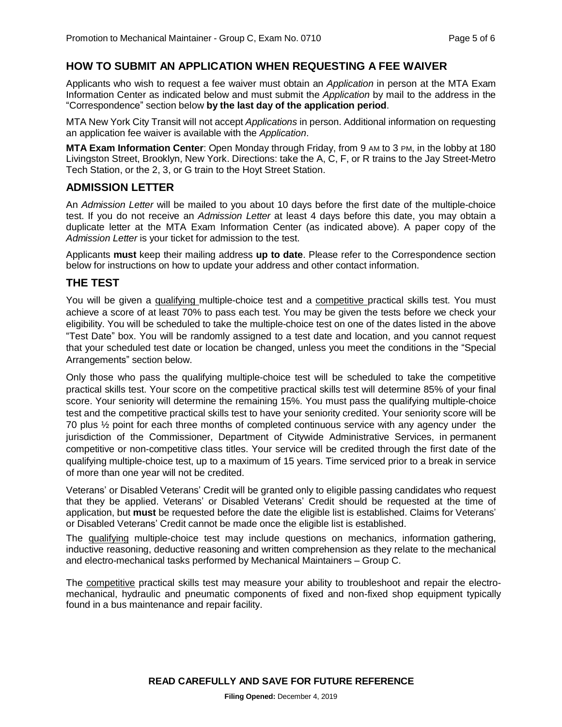#### **HOW TO SUBMIT AN APPLICATION WHEN REQUESTING A FEE WAIVER**

Applicants who wish to request a fee waiver must obtain an *Application* in person at the MTA Exam Information Center as indicated below and must submit the *Application* by mail to the address in the "Correspondence" section below **by the last day of the application period**.

MTA New York City Transit will not accept *Applications* in person. Additional information on requesting an application fee waiver is available with the *Application*.

**MTA Exam Information Center**: Open Monday through Friday, from 9 AM to 3 PM, in the lobby at 180 Livingston Street, Brooklyn, New York. Directions: take the A, C, F, or R trains to the Jay Street-Metro Tech Station, or the 2, 3, or G train to the Hoyt Street Station.

#### **ADMISSION LETTER**

An *Admission Letter* will be mailed to you about 10 days before the first date of the multiple-choice test. If you do not receive an *Admission Letter* at least 4 days before this date, you may obtain a duplicate letter at the MTA Exam Information Center (as indicated above). A paper copy of the *Admission Letter* is your ticket for admission to the test.

Applicants **must** keep their mailing address **up to date**. Please refer to the Correspondence section below for instructions on how to update your address and other contact information.

#### **THE TEST**

You will be given a qualifying multiple-choice test and a competitive practical skills test. You must achieve a score of at least 70% to pass each test. You may be given the tests before we check your eligibility. You will be scheduled to take the multiple-choice test on one of the dates listed in the above "Test Date" box. You will be randomly assigned to a test date and location, and you cannot request that your scheduled test date or location be changed, unless you meet the conditions in the "Special Arrangements" section below.

Only those who pass the qualifying multiple-choice test will be scheduled to take the competitive practical skills test. Your score on the competitive practical skills test will determine 85% of your final score. Your seniority will determine the remaining 15%. You must pass the qualifying multiple-choice test and the competitive practical skills test to have your seniority credited. Your seniority score will be 70 plus ½ point for each three months of completed continuous service with any agency under the jurisdiction of the Commissioner, Department of Citywide Administrative Services, in permanent competitive or non-competitive class titles. Your service will be credited through the first date of the qualifying multiple-choice test, up to a maximum of 15 years. Time serviced prior to a break in service of more than one year will not be credited.

Veterans' or Disabled Veterans' Credit will be granted only to eligible passing candidates who request that they be applied. Veterans' or Disabled Veterans' Credit should be requested at the time of application, but **must** be requested before the date the eligible list is established. Claims for Veterans' or Disabled Veterans' Credit cannot be made once the eligible list is established.

The qualifying multiple-choice test may include questions on mechanics, information gathering, inductive reasoning, deductive reasoning and written comprehension as they relate to the mechanical and electro-mechanical tasks performed by Mechanical Maintainers – Group C.

The competitive practical skills test may measure your ability to troubleshoot and repair the electromechanical, hydraulic and pneumatic components of fixed and non-fixed shop equipment typically found in a bus maintenance and repair facility.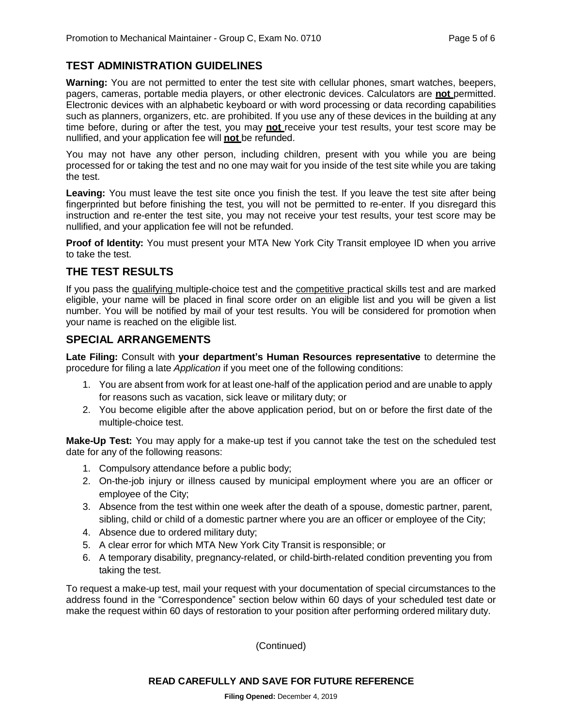# **TEST ADMINISTRATION GUIDELINES**

**Warning:** You are not permitted to enter the test site with cellular phones, smart watches, beepers, pagers, cameras, portable media players, or other electronic devices. Calculators are **not** permitted. Electronic devices with an alphabetic keyboard or with word processing or data recording capabilities such as planners, organizers, etc. are prohibited. If you use any of these devices in the building at any time before, during or after the test, you may **not** receive your test results, your test score may be nullified, and your application fee will **not** be refunded.

You may not have any other person, including children, present with you while you are being processed for or taking the test and no one may wait for you inside of the test site while you are taking the test.

**Leaving:** You must leave the test site once you finish the test. If you leave the test site after being fingerprinted but before finishing the test, you will not be permitted to re-enter. If you disregard this instruction and re-enter the test site, you may not receive your test results, your test score may be nullified, and your application fee will not be refunded.

**Proof of Identity:** You must present your MTA New York City Transit employee ID when you arrive to take the test.

#### **THE TEST RESULTS**

If you pass the qualifying multiple-choice test and the competitive practical skills test and are marked eligible, your name will be placed in final score order on an eligible list and you will be given a list number. You will be notified by mail of your test results. You will be considered for promotion when your name is reached on the eligible list.

#### **SPECIAL ARRANGEMENTS**

**Late Filing:** Consult with **your department's Human Resources representative** to determine the procedure for filing a late *Application* if you meet one of the following conditions:

- 1. You are absent from work for at least one-half of the application period and are unable to apply for reasons such as vacation, sick leave or military duty; or
- 2. You become eligible after the above application period, but on or before the first date of the multiple-choice test.

**Make-Up Test:** You may apply for a make-up test if you cannot take the test on the scheduled test date for any of the following reasons:

- 1. Compulsory attendance before a public body;
- 2. On-the-job injury or illness caused by municipal employment where you are an officer or employee of the City;
- 3. Absence from the test within one week after the death of a spouse, domestic partner, parent, sibling, child or child of a domestic partner where you are an officer or employee of the City;
- 4. Absence due to ordered military duty;
- 5. A clear error for which MTA New York City Transit is responsible; or
- 6. A temporary disability, pregnancy-related, or child-birth-related condition preventing you from taking the test.

To request a make-up test, mail your request with your documentation of special circumstances to the address found in the "Correspondence" section below within 60 days of your scheduled test date or make the request within 60 days of restoration to your position after performing ordered military duty.

(Continued)